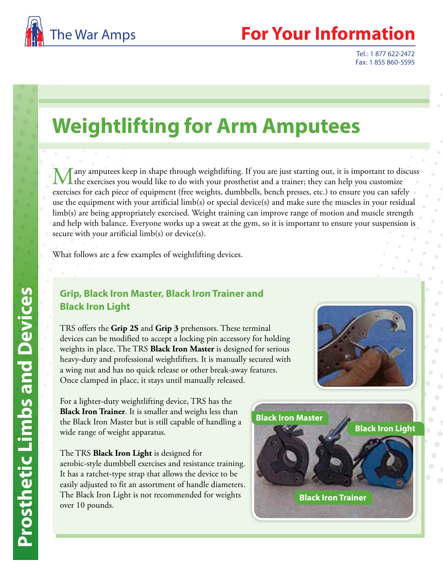

## **Your Information**

Tel.: 1 877 622-2472 Fax: 1 855 860-5595

# **Weightlifting for Arm Amputees**

any amputees keep in shape through weightlifting. If you are just starting out, it is important to discuss the exercises you would like to do with your prosthetist and a trainer; they can help you customize exercises for each piece of equipment (free weights, dumbbells, bench presses, etc.) to ensure you can safely use the equipment with your artificial limb(s) or special device(s) and make sure the muscles in your residual limb(s) are being appropriately exercised. Weight training can improve range of motion and muscle strength and help with balance. Everyone works up a sweat at the gym, so it is important to ensure your suspension is secure with your artificial limb(s) or device(s).

What follows are a few examples of weightlifting devices.

### **Grip, Black Iron Master, Black Iron Trainer and Black Iron Light**

TRS offers the **Grip 2S** and **Grip 3** prehensors. These terminal devices can be modified to accept a locking pin accessory for holding weights in place. The TRS **Black Iron Master** is designed for serious heavy-duty and professional weightlifters. It is manually secured with a wing nut and has no quick release or other break-away features. Once clamped in place, it stays until manually released.

For a lighter-duty weightlifting device, TRS has the **Black Iron Trainer**. It is smaller and weighs less than the Black Iron Master but is still capable of handling a wide range of weight apparatus.

The TRS **Black Iron Light** is designed for aerobic-style dumbbell exercises and resistance training. It has a ratchet-type strap that allows the device to be easily adjusted to fit an assortment of handle diameters. The Black Iron Light is not recommended for weights over 10 pounds.